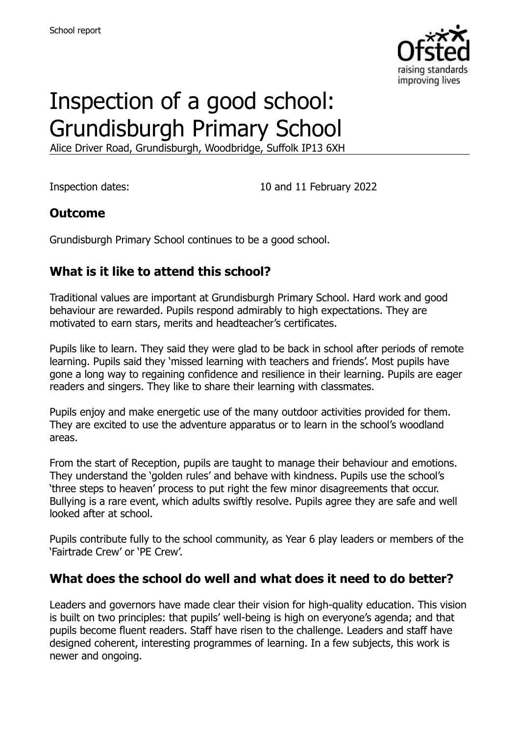

# Inspection of a good school: Grundisburgh Primary School

Alice Driver Road, Grundisburgh, Woodbridge, Suffolk IP13 6XH

Inspection dates: 10 and 11 February 2022

# **Outcome**

Grundisburgh Primary School continues to be a good school.

# **What is it like to attend this school?**

Traditional values are important at Grundisburgh Primary School. Hard work and good behaviour are rewarded. Pupils respond admirably to high expectations. They are motivated to earn stars, merits and headteacher's certificates.

Pupils like to learn. They said they were glad to be back in school after periods of remote learning. Pupils said they 'missed learning with teachers and friends'. Most pupils have gone a long way to regaining confidence and resilience in their learning. Pupils are eager readers and singers. They like to share their learning with classmates.

Pupils enjoy and make energetic use of the many outdoor activities provided for them. They are excited to use the adventure apparatus or to learn in the school's woodland areas.

From the start of Reception, pupils are taught to manage their behaviour and emotions. They understand the 'golden rules' and behave with kindness. Pupils use the school's 'three steps to heaven' process to put right the few minor disagreements that occur. Bullying is a rare event, which adults swiftly resolve. Pupils agree they are safe and well looked after at school.

Pupils contribute fully to the school community, as Year 6 play leaders or members of the 'Fairtrade Crew' or 'PE Crew'.

# **What does the school do well and what does it need to do better?**

Leaders and governors have made clear their vision for high-quality education. This vision is built on two principles: that pupils' well-being is high on everyone's agenda; and that pupils become fluent readers. Staff have risen to the challenge. Leaders and staff have designed coherent, interesting programmes of learning. In a few subjects, this work is newer and ongoing.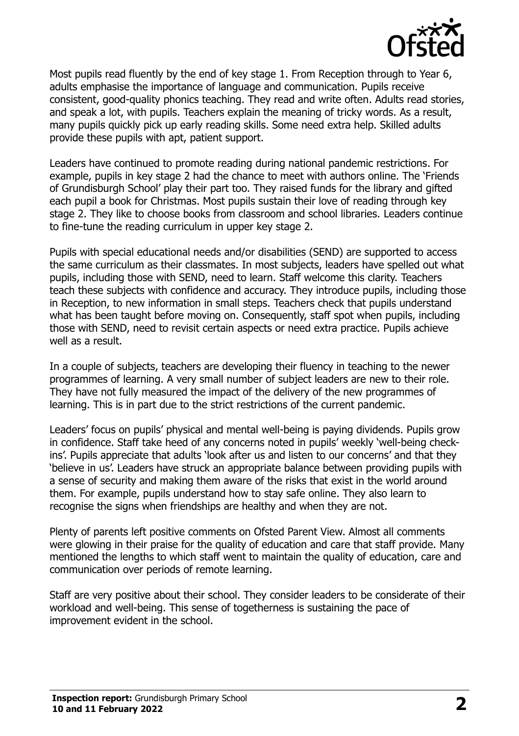

Most pupils read fluently by the end of key stage 1. From Reception through to Year 6, adults emphasise the importance of language and communication. Pupils receive consistent, good-quality phonics teaching. They read and write often. Adults read stories, and speak a lot, with pupils. Teachers explain the meaning of tricky words. As a result, many pupils quickly pick up early reading skills. Some need extra help. Skilled adults provide these pupils with apt, patient support.

Leaders have continued to promote reading during national pandemic restrictions. For example, pupils in key stage 2 had the chance to meet with authors online. The 'Friends of Grundisburgh School' play their part too. They raised funds for the library and gifted each pupil a book for Christmas. Most pupils sustain their love of reading through key stage 2. They like to choose books from classroom and school libraries. Leaders continue to fine-tune the reading curriculum in upper key stage 2.

Pupils with special educational needs and/or disabilities (SEND) are supported to access the same curriculum as their classmates. In most subjects, leaders have spelled out what pupils, including those with SEND, need to learn. Staff welcome this clarity. Teachers teach these subjects with confidence and accuracy. They introduce pupils, including those in Reception, to new information in small steps. Teachers check that pupils understand what has been taught before moving on. Consequently, staff spot when pupils, including those with SEND, need to revisit certain aspects or need extra practice. Pupils achieve well as a result.

In a couple of subjects, teachers are developing their fluency in teaching to the newer programmes of learning. A very small number of subject leaders are new to their role. They have not fully measured the impact of the delivery of the new programmes of learning. This is in part due to the strict restrictions of the current pandemic.

Leaders' focus on pupils' physical and mental well-being is paying dividends. Pupils grow in confidence. Staff take heed of any concerns noted in pupils' weekly 'well-being checkins'. Pupils appreciate that adults 'look after us and listen to our concerns' and that they 'believe in us'. Leaders have struck an appropriate balance between providing pupils with a sense of security and making them aware of the risks that exist in the world around them. For example, pupils understand how to stay safe online. They also learn to recognise the signs when friendships are healthy and when they are not.

Plenty of parents left positive comments on Ofsted Parent View. Almost all comments were glowing in their praise for the quality of education and care that staff provide. Many mentioned the lengths to which staff went to maintain the quality of education, care and communication over periods of remote learning.

Staff are very positive about their school. They consider leaders to be considerate of their workload and well-being. This sense of togetherness is sustaining the pace of improvement evident in the school.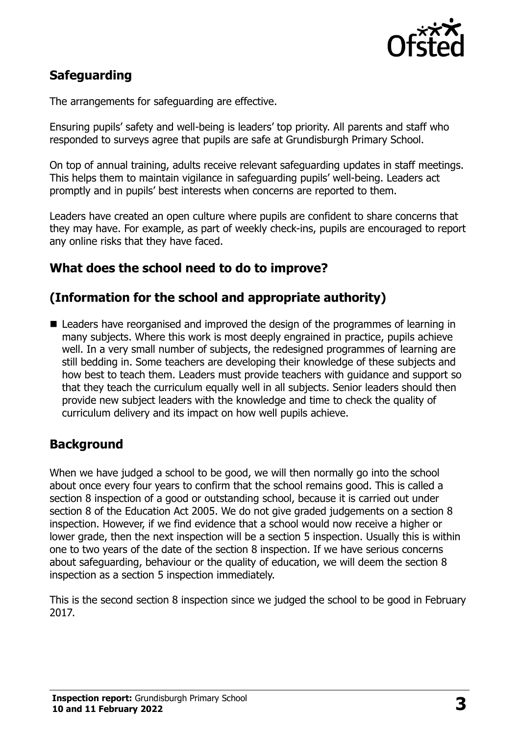

# **Safeguarding**

The arrangements for safeguarding are effective.

Ensuring pupils' safety and well-being is leaders' top priority. All parents and staff who responded to surveys agree that pupils are safe at Grundisburgh Primary School.

On top of annual training, adults receive relevant safeguarding updates in staff meetings. This helps them to maintain vigilance in safeguarding pupils' well-being. Leaders act promptly and in pupils' best interests when concerns are reported to them.

Leaders have created an open culture where pupils are confident to share concerns that they may have. For example, as part of weekly check-ins, pupils are encouraged to report any online risks that they have faced.

# **What does the school need to do to improve?**

# **(Information for the school and appropriate authority)**

■ Leaders have reorganised and improved the design of the programmes of learning in many subjects. Where this work is most deeply engrained in practice, pupils achieve well. In a very small number of subjects, the redesigned programmes of learning are still bedding in. Some teachers are developing their knowledge of these subjects and how best to teach them. Leaders must provide teachers with guidance and support so that they teach the curriculum equally well in all subjects. Senior leaders should then provide new subject leaders with the knowledge and time to check the quality of curriculum delivery and its impact on how well pupils achieve.

# **Background**

When we have judged a school to be good, we will then normally go into the school about once every four years to confirm that the school remains good. This is called a section 8 inspection of a good or outstanding school, because it is carried out under section 8 of the Education Act 2005. We do not give graded judgements on a section 8 inspection. However, if we find evidence that a school would now receive a higher or lower grade, then the next inspection will be a section 5 inspection. Usually this is within one to two years of the date of the section 8 inspection. If we have serious concerns about safeguarding, behaviour or the quality of education, we will deem the section 8 inspection as a section 5 inspection immediately.

This is the second section 8 inspection since we judged the school to be good in February 2017.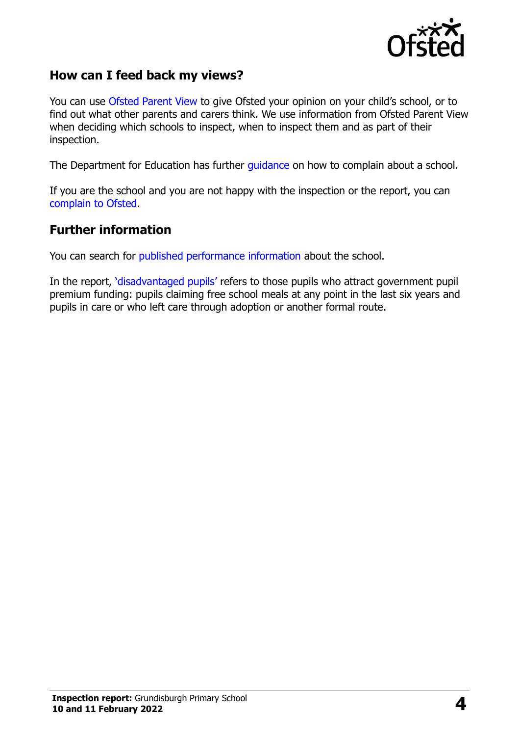

# **How can I feed back my views?**

You can use [Ofsted Parent View](https://parentview.ofsted.gov.uk/) to give Ofsted your opinion on your child's school, or to find out what other parents and carers think. We use information from Ofsted Parent View when deciding which schools to inspect, when to inspect them and as part of their inspection.

The Department for Education has further [guidance](http://www.gov.uk/complain-about-school) on how to complain about a school.

If you are the school and you are not happy with the inspection or the report, you can [complain to Ofsted.](https://www.gov.uk/complain-ofsted-report)

#### **Further information**

You can search for [published performance information](http://www.compare-school-performance.service.gov.uk/) about the school.

In the report, '[disadvantaged pupils](http://www.gov.uk/guidance/pupil-premium-information-for-schools-and-alternative-provision-settings)' refers to those pupils who attract government pupil premium funding: pupils claiming free school meals at any point in the last six years and pupils in care or who left care through adoption or another formal route.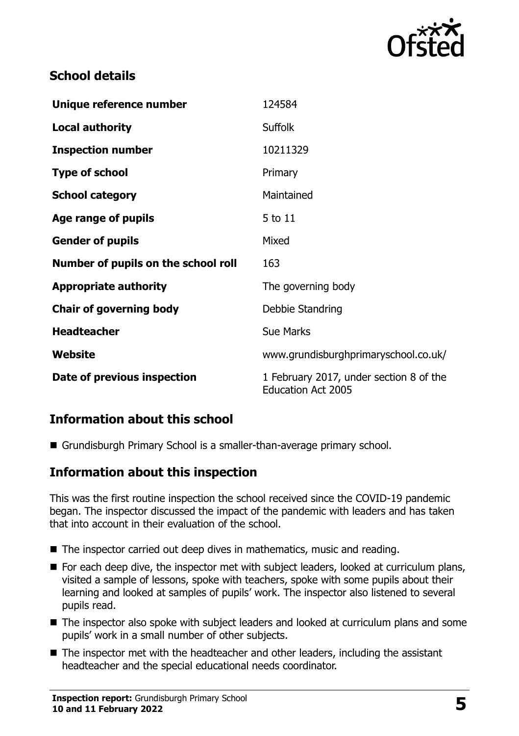

# **School details**

| Unique reference number             | 124584                                                               |
|-------------------------------------|----------------------------------------------------------------------|
| <b>Local authority</b>              | <b>Suffolk</b>                                                       |
| <b>Inspection number</b>            | 10211329                                                             |
| <b>Type of school</b>               | Primary                                                              |
| <b>School category</b>              | Maintained                                                           |
| Age range of pupils                 | 5 to 11                                                              |
| <b>Gender of pupils</b>             | Mixed                                                                |
| Number of pupils on the school roll | 163                                                                  |
| <b>Appropriate authority</b>        | The governing body                                                   |
| <b>Chair of governing body</b>      | Debbie Standring                                                     |
| <b>Headteacher</b>                  | <b>Sue Marks</b>                                                     |
| Website                             | www.grundisburghprimaryschool.co.uk/                                 |
| Date of previous inspection         | 1 February 2017, under section 8 of the<br><b>Education Act 2005</b> |

# **Information about this school**

Grundisburgh Primary School is a smaller-than-average primary school.

# **Information about this inspection**

This was the first routine inspection the school received since the COVID-19 pandemic began. The inspector discussed the impact of the pandemic with leaders and has taken that into account in their evaluation of the school.

- The inspector carried out deep dives in mathematics, music and reading.
- For each deep dive, the inspector met with subject leaders, looked at curriculum plans, visited a sample of lessons, spoke with teachers, spoke with some pupils about their learning and looked at samples of pupils' work. The inspector also listened to several pupils read.
- The inspector also spoke with subject leaders and looked at curriculum plans and some pupils' work in a small number of other subjects.
- The inspector met with the headteacher and other leaders, including the assistant headteacher and the special educational needs coordinator.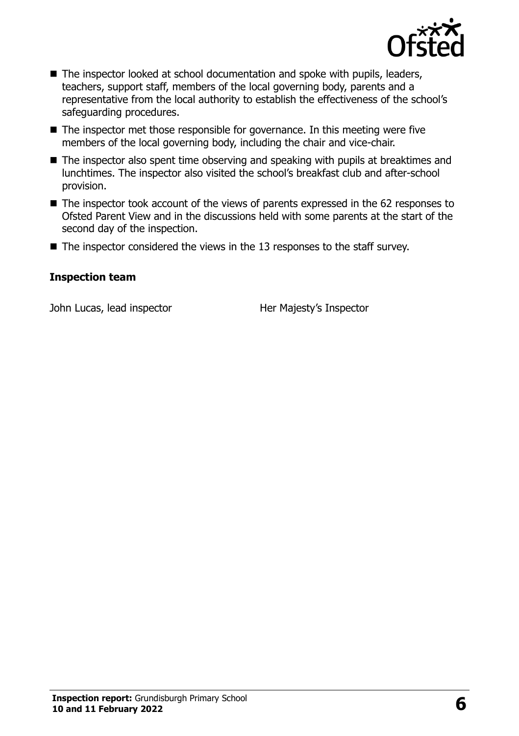

- The inspector looked at school documentation and spoke with pupils, leaders, teachers, support staff, members of the local governing body, parents and a representative from the local authority to establish the effectiveness of the school's safeguarding procedures.
- $\blacksquare$  The inspector met those responsible for governance. In this meeting were five members of the local governing body, including the chair and vice-chair.
- The inspector also spent time observing and speaking with pupils at breaktimes and lunchtimes. The inspector also visited the school's breakfast club and after-school provision.
- The inspector took account of the views of parents expressed in the 62 responses to Ofsted Parent View and in the discussions held with some parents at the start of the second day of the inspection.
- $\blacksquare$  The inspector considered the views in the 13 responses to the staff survey.

#### **Inspection team**

John Lucas, lead inspector **Her Majesty's Inspector**